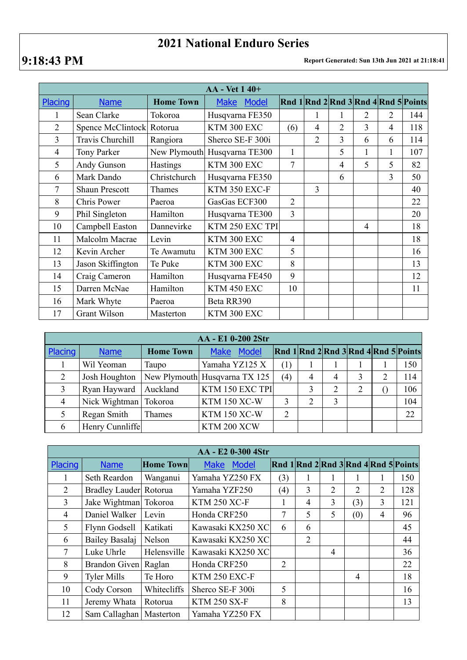## **2021 National Enduro Series**

## **9:18:43 PM Report Generated: Sun 13th Jun 2021 at 21:18:41**

| <b>AA</b> - Vet 1 40+ |                           |                  |                              |                |                |                |                |   |                                                      |
|-----------------------|---------------------------|------------------|------------------------------|----------------|----------------|----------------|----------------|---|------------------------------------------------------|
| Placing               | <b>Name</b>               | <b>Home Town</b> | <b>Model</b><br><b>Make</b>  |                |                |                |                |   | $\left \right $ Rnd 1 Rnd 2 Rnd 3 Rnd 4 Rnd 5 Points |
| 1                     | Sean Clarke               | Tokoroa          | Husqvarna FE350              |                | 1              | 1              | 2              | 2 | 144                                                  |
| $\overline{2}$        | Spence McClintock Rotorua |                  | KTM 300 EXC                  | (6)            | 4              | 2              | 3              | 4 | 118                                                  |
| 3                     | Travis Churchill          | Rangiora         | Sherco SE-F 300i             |                | $\overline{2}$ | 3              | 6              | 6 | 114                                                  |
| $\overline{4}$        | Tony Parker               |                  | New Plymouth Husqvarna TE300 | $\mathbf{1}$   |                | 5              | 1              | 1 | 107                                                  |
| 5                     | Andy Gunson               | Hastings         | KTM 300 EXC                  | 7              |                | $\overline{4}$ | 5              | 5 | 82                                                   |
| 6                     | Mark Dando                | Christchurch     | Husqvarna FE350              |                |                | 6              |                | 3 | 50                                                   |
| 7                     | <b>Shaun Prescott</b>     | Thames           | KTM 350 EXC-F                |                | 3              |                |                |   | 40                                                   |
| 8                     | Chris Power               | Paeroa           | GasGas ECF300                | $\overline{2}$ |                |                |                |   | 22                                                   |
| 9                     | Phil Singleton            | Hamilton         | Husqvarna TE300              | $\overline{3}$ |                |                |                |   | 20                                                   |
| 10                    | Campbell Easton           | Dannevirke       | KTM 250 EXC TPI              |                |                |                | $\overline{4}$ |   | 18                                                   |
| 11                    | Malcolm Macrae            | Levin            | KTM 300 EXC                  | $\overline{4}$ |                |                |                |   | 18                                                   |
| 12                    | Kevin Archer              | Te Awamutu       | KTM 300 EXC                  | 5              |                |                |                |   | 16                                                   |
| 13                    | Jason Skiffington         | Te Puke          | KTM 300 EXC                  | 8              |                |                |                |   | 13                                                   |
| 14                    | Craig Cameron             | Hamilton         | Husqvarna FE450              | 9              |                |                |                |   | 12                                                   |
| 15                    | Darren McNae              | Hamilton         | KTM 450 EXC                  | 10             |                |                |                |   | 11                                                   |
| 16                    | Mark Whyte                | Paeroa           | Beta RR390                   |                |                |                |                |   |                                                      |
| 17                    | Grant Wilson              | Masterton        | KTM 300 EXC                  |                |                |                |                |   |                                                      |

| AA - E1 0-200 2Str |                         |                  |                               |                |                |   |   |   |                                                      |  |
|--------------------|-------------------------|------------------|-------------------------------|----------------|----------------|---|---|---|------------------------------------------------------|--|
| Placing            | <b>Name</b>             | <b>Home Town</b> | Model<br><b>Make</b>          |                |                |   |   |   | $\left \right $ Rnd 1 Rnd 2 Rnd 3 Rnd 4 Rnd 5 Points |  |
|                    | Wil Yeoman              | Taupo            | Yamaha YZ125 X                | (1)            |                |   |   |   | 150                                                  |  |
| 2                  | Josh Houghton           |                  | New Plymouth Husqvarna TX 125 | (4)            | $\overline{4}$ | 4 | 3 | 2 | 114                                                  |  |
| 3                  | Ryan Hayward            | Auckland         | KTM 150 EXC TPI               |                |                | 2 | 2 |   | 106                                                  |  |
| $\overline{4}$     | Nick Wightman   Tokoroa |                  | <b>KTM 150 XC-W</b>           | 3              | $\overline{2}$ | 3 |   |   | 104                                                  |  |
|                    | Regan Smith             | Thames           | <b>KTM 150 XC-W</b>           | $\overline{2}$ |                |   |   |   | 22                                                   |  |
| 6                  | Henry Cunnliffe         |                  | KTM 200 XCW                   |                |                |   |   |   |                                                      |  |

| AA - E2 0-300 4Str |                        |                  |                      |                  |                |                |                |   |                                                |  |
|--------------------|------------------------|------------------|----------------------|------------------|----------------|----------------|----------------|---|------------------------------------------------|--|
| Placing            | <b>Name</b>            | <b>Home Town</b> | Model<br><b>Make</b> |                  |                |                |                |   | Rnd $1$ Rnd $2$ Rnd $3$ Rnd $4$ Rnd $5$ Points |  |
|                    | Seth Reardon           | Wanganui         | Yamaha YZ250 FX      | (3)              | 1              |                |                |   | 150                                            |  |
| 2                  | Bradley Lauder Rotorua |                  | Yamaha YZF250        | $\left(4\right)$ | 3              | $\overline{2}$ | 2              | 2 | 128                                            |  |
| $\overline{3}$     | Jake Wightman Tokoroa  |                  | <b>KTM 250 XC-F</b>  | $\mathbf{I}$     | 4              | 3              | (3)            | 3 | 121                                            |  |
| $\overline{4}$     | Daniel Walker          | Levin            | Honda CRF250         | 7                | 5              | 5              | (0)            | 4 | 96                                             |  |
| 5                  | Flynn Godsell          | Katikati         | Kawasaki KX250 XC    | 6                | 6              |                |                |   | 45                                             |  |
| 6                  | Bailey Basalaj         | Nelson           | Kawasaki KX250 XC    |                  | $\overline{2}$ |                |                |   | 44                                             |  |
| $\tau$             | Luke Uhrle             | Helensville      | Kawasaki KX250 XC    |                  |                | 4              |                |   | 36                                             |  |
| 8                  | Brandon Given          | Raglan           | Honda CRF250         | $\overline{2}$   |                |                |                |   | 22                                             |  |
| 9                  | <b>Tyler Mills</b>     | Te Horo          | KTM 250 EXC-F        |                  |                |                | $\overline{4}$ |   | 18                                             |  |
| 10                 | Cody Corson            | Whitecliffs      | Sherco SE-F 300i     | 5                |                |                |                |   | 16                                             |  |
| 11                 | Jeremy Whata           | Rotorua          | <b>KTM 250 SX-F</b>  | 8                |                |                |                |   | 13                                             |  |
| 12                 | Sam Callaghan          | Masterton        | Yamaha YZ250 FX      |                  |                |                |                |   |                                                |  |